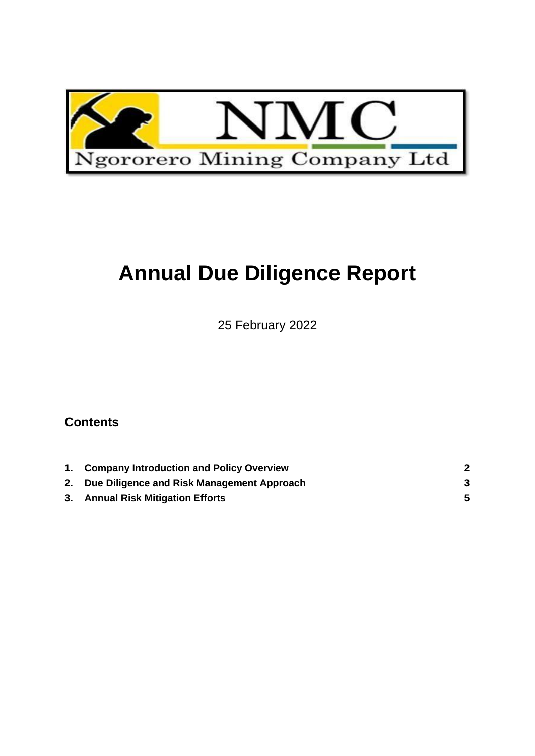

# **Annual Due Diligence Report**

25 February 2022

## **Contents**

| 1. Company Introduction and Policy Overview   |  |
|-----------------------------------------------|--|
| 2. Due Diligence and Risk Management Approach |  |
| 3. Annual Risk Mitigation Efforts             |  |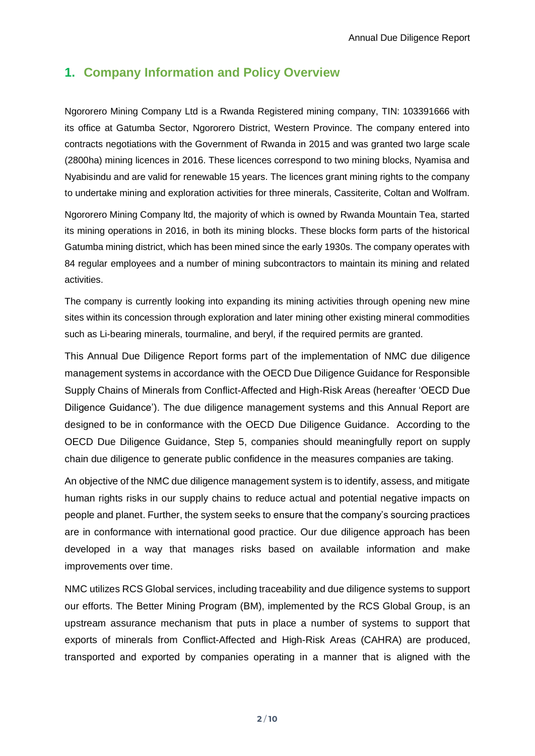#### <span id="page-1-0"></span>**1. Company Information and Policy Overview**

Ngororero Mining Company Ltd is a Rwanda Registered mining company, TIN: 103391666 with its office at Gatumba Sector, Ngororero District, Western Province. The company entered into contracts negotiations with the Government of Rwanda in 2015 and was granted two large scale (2800ha) mining licences in 2016. These licences correspond to two mining blocks, Nyamisa and Nyabisindu and are valid for renewable 15 years. The licences grant mining rights to the company to undertake mining and exploration activities for three minerals, Cassiterite, Coltan and Wolfram.

Ngororero Mining Company ltd, the majority of which is owned by Rwanda Mountain Tea, started its mining operations in 2016, in both its mining blocks. These blocks form parts of the historical Gatumba mining district, which has been mined since the early 1930s. The company operates with 84 regular employees and a number of mining subcontractors to maintain its mining and related activities.

The company is currently looking into expanding its mining activities through opening new mine sites within its concession through exploration and later mining other existing mineral commodities such as Li-bearing minerals, tourmaline, and beryl, if the required permits are granted.

This Annual Due Diligence Report forms part of the implementation of NMC due diligence management systems in accordance with the OECD Due Diligence Guidance for Responsible Supply Chains of Minerals from Conflict-Affected and High-Risk Areas (hereafter 'OECD Due Diligence Guidance'). The due diligence management systems and this Annual Report are designed to be in conformance with the OECD Due Diligence Guidance. According to the OECD Due Diligence Guidance, Step 5, companies should meaningfully report on supply chain due diligence to generate public confidence in the measures companies are taking.

An objective of the NMC due diligence management system is to identify, assess, and mitigate human rights risks in our supply chains to reduce actual and potential negative impacts on people and planet. Further, the system seeks to ensure that the company's sourcing practices are in conformance with international good practice. Our due diligence approach has been developed in a way that manages risks based on available information and make improvements over time.

NMC utilizes RCS Global services, including traceability and due diligence systems to support our efforts. The Better Mining Program (BM), implemented by the RCS Global Group, is an upstream assurance mechanism that puts in place a number of systems to support that exports of minerals from Conflict-Affected and High-Risk Areas (CAHRA) are produced, transported and exported by companies operating in a manner that is aligned with the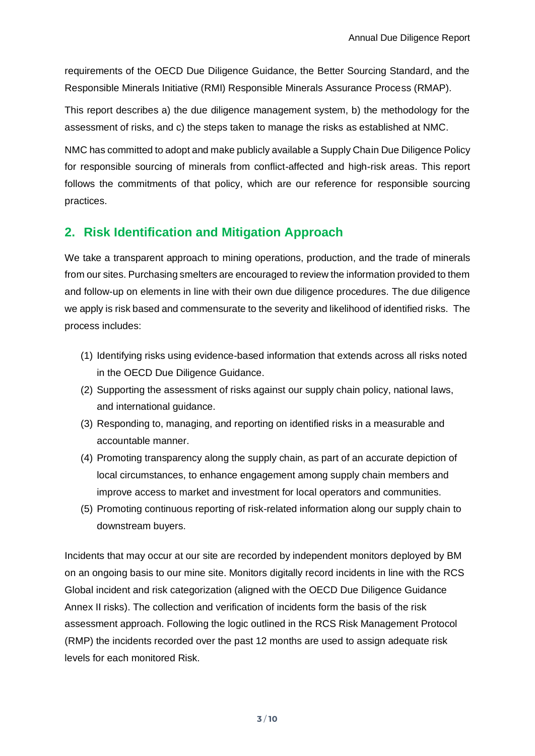requirements of the OECD Due Diligence Guidance, the Better Sourcing Standard, and the Responsible Minerals Initiative (RMI) Responsible Minerals Assurance Process (RMAP).

This report describes a) the due diligence management system, b) the methodology for the assessment of risks, and c) the steps taken to manage the risks as established at NMC.

NMC has committed to adopt and make publicly available a Supply Chain Due Diligence Policy for responsible sourcing of minerals from conflict-affected and high-risk areas. This report follows the commitments of that policy, which are our reference for responsible sourcing practices.

### <span id="page-2-0"></span>**2. Risk Identification and Mitigation Approach**

We take a transparent approach to mining operations, production, and the trade of minerals from our sites. Purchasing smelters are encouraged to review the information provided to them and follow-up on elements in line with their own due diligence procedures. The due diligence we apply is risk based and commensurate to the severity and likelihood of identified risks. The process includes:

- (1) Identifying risks using evidence-based information that extends across all risks noted in the OECD Due Diligence Guidance.
- (2) Supporting the assessment of risks against our supply chain policy, national laws, and international guidance.
- (3) Responding to, managing, and reporting on identified risks in a measurable and accountable manner.
- (4) Promoting transparency along the supply chain, as part of an accurate depiction of local circumstances, to enhance engagement among supply chain members and improve access to market and investment for local operators and communities.
- (5) Promoting continuous reporting of risk-related information along our supply chain to downstream buyers.

Incidents that may occur at our site are recorded by independent monitors deployed by BM on an ongoing basis to our mine site. Monitors digitally record incidents in line with the RCS Global incident and risk categorization (aligned with the OECD Due Diligence Guidance Annex II risks). The collection and verification of incidents form the basis of the risk assessment approach. Following the logic outlined in the RCS Risk Management Protocol (RMP) the incidents recorded over the past 12 months are used to assign adequate risk levels for each monitored Risk.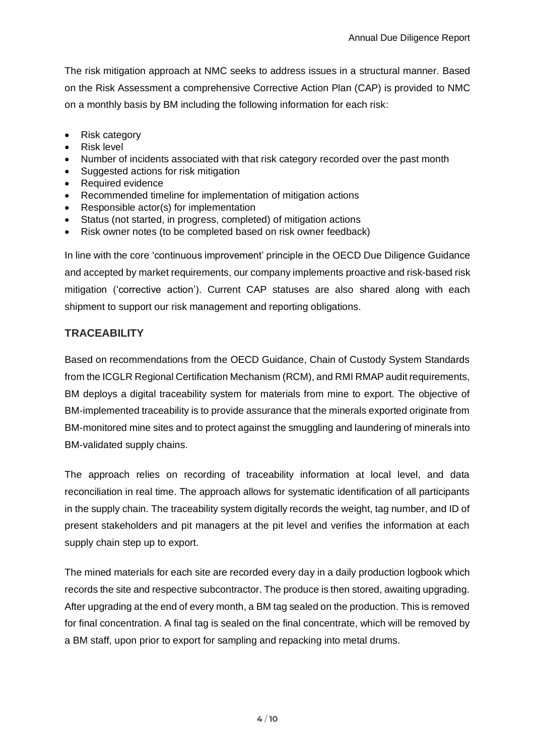The risk mitigation approach at NMC seeks to address issues in a structural manner. Based on the Risk Assessment a comprehensive Corrective Action Plan (CAP) is provided to NMC on a monthly basis by BM including the following information for each risk:

- Risk category
- Risk level
- Number of incidents associated with that risk category recorded over the past month
- Suggested actions for risk mitigation
- Required evidence
- Recommended timeline for implementation of mitigation actions
- Responsible actor(s) for implementation
- Status (not started, in progress, completed) of mitigation actions
- Risk owner notes (to be completed based on risk owner feedback)

In line with the core 'continuous improvement' principle in the OECD Due Diligence Guidance and accepted by market requirements, our company implements proactive and risk-based risk mitigation ('corrective action'). Current CAP statuses are also shared along with each shipment to support our risk management and reporting obligations.

#### **TRACEABILITY**

Based on recommendations from the OECD Guidance, Chain of Custody System Standards from the ICGLR Regional Certification Mechanism (RCM), and RMI RMAP audit requirements, BM deploys a digital traceability system for materials from mine to export. The objective of BM-implemented traceability is to provide assurance that the minerals exported originate from BM-monitored mine sites and to protect against the smuggling and laundering of minerals into BM-validated supply chains.

The approach relies on recording of traceability information at local level, and data reconciliation in real time. The approach allows for systematic identification of all participants in the supply chain. The traceability system digitally records the weight, tag number, and ID of present stakeholders and pit managers at the pit level and verifies the information at each supply chain step up to export.

The mined materials for each site are recorded every day in a daily production logbook which records the site and respective subcontractor. The produce is then stored, awaiting upgrading. After upgrading at the end of every month, a BM tag sealed on the production. This is removed for final concentration. A final tag is sealed on the final concentrate, which will be removed by a BM staff, upon prior to export for sampling and repacking into metal drums.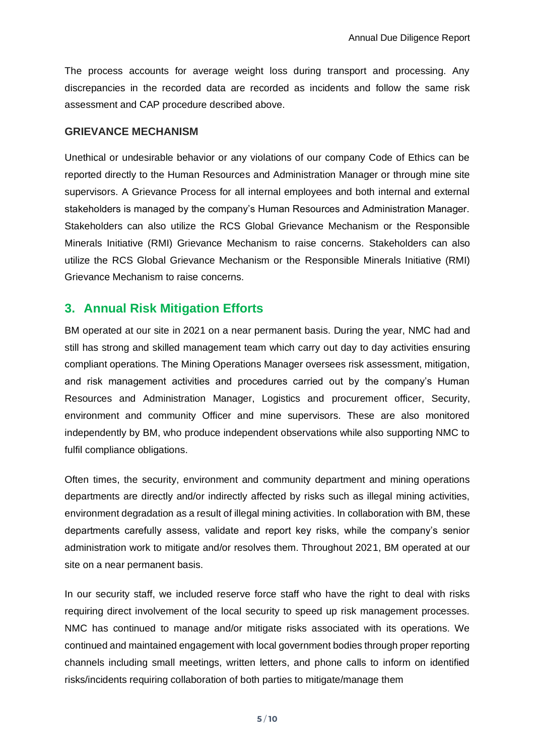The process accounts for average weight loss during transport and processing. Any discrepancies in the recorded data are recorded as incidents and follow the same risk assessment and CAP procedure described above.

#### **GRIEVANCE MECHANISM**

Unethical or undesirable behavior or any violations of our company Code of Ethics can be reported directly to the Human Resources and Administration Manager or through mine site supervisors. A Grievance Process for all internal employees and both internal and external stakeholders is managed by the company's Human Resources and Administration Manager. Stakeholders can also utilize the RCS Global Grievance Mechanism or the Responsible Minerals Initiative (RMI) Grievance Mechanism to raise concerns. Stakeholders can also utilize the RCS Global Grievance Mechanism or the Responsible Minerals Initiative (RMI) Grievance Mechanism to raise concerns.

#### <span id="page-4-0"></span>**3. Annual Risk Mitigation Efforts**

BM operated at our site in 2021 on a near permanent basis. During the year, NMC had and still has strong and skilled management team which carry out day to day activities ensuring compliant operations. The Mining Operations Manager oversees risk assessment, mitigation, and risk management activities and procedures carried out by the company's Human Resources and Administration Manager, Logistics and procurement officer, Security, environment and community Officer and mine supervisors. These are also monitored independently by BM, who produce independent observations while also supporting NMC to fulfil compliance obligations.

Often times, the security, environment and community department and mining operations departments are directly and/or indirectly affected by risks such as illegal mining activities, environment degradation as a result of illegal mining activities. In collaboration with BM, these departments carefully assess, validate and report key risks, while the company's senior administration work to mitigate and/or resolves them. Throughout 2021, BM operated at our site on a near permanent basis.

In our security staff, we included reserve force staff who have the right to deal with risks requiring direct involvement of the local security to speed up risk management processes. NMC has continued to manage and/or mitigate risks associated with its operations. We continued and maintained engagement with local government bodies through proper reporting channels including small meetings, written letters, and phone calls to inform on identified risks/incidents requiring collaboration of both parties to mitigate/manage them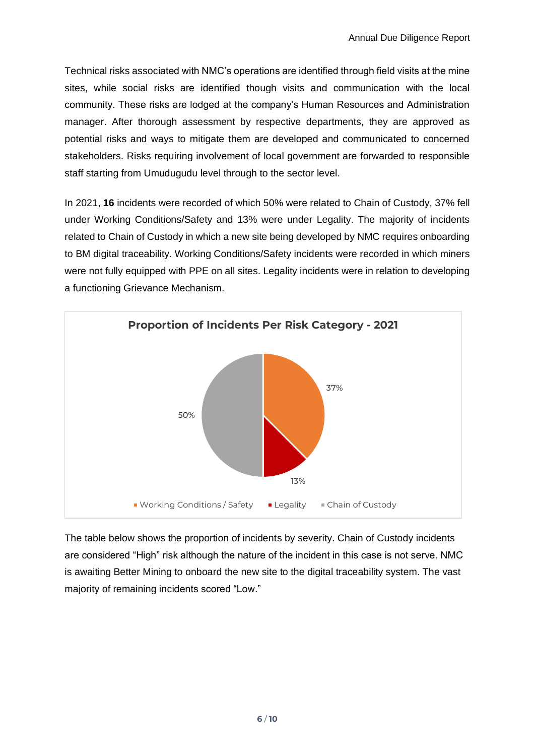Technical risks associated with NMC's operations are identified through field visits at the mine sites, while social risks are identified though visits and communication with the local community. These risks are lodged at the company's Human Resources and Administration manager. After thorough assessment by respective departments, they are approved as potential risks and ways to mitigate them are developed and communicated to concerned stakeholders. Risks requiring involvement of local government are forwarded to responsible staff starting from Umudugudu level through to the sector level.

In 2021, **16** incidents were recorded of which 50% were related to Chain of Custody, 37% fell under Working Conditions/Safety and 13% were under Legality. The majority of incidents related to Chain of Custody in which a new site being developed by NMC requires onboarding to BM digital traceability. Working Conditions/Safety incidents were recorded in which miners were not fully equipped with PPE on all sites. Legality incidents were in relation to developing a functioning Grievance Mechanism.



The table below shows the proportion of incidents by severity. Chain of Custody incidents are considered "High" risk although the nature of the incident in this case is not serve. NMC is awaiting Better Mining to onboard the new site to the digital traceability system. The vast majority of remaining incidents scored "Low."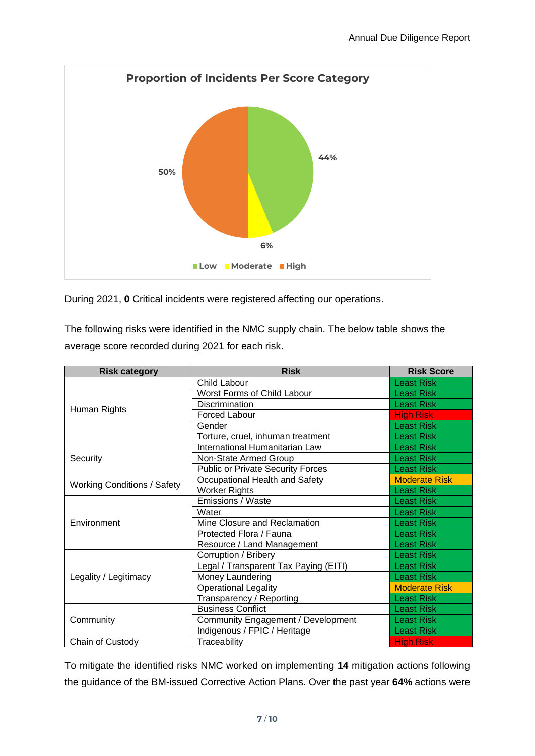

During 2021, **0** Critical incidents were registered affecting our operations.

The following risks were identified in the NMC supply chain. The below table shows the average score recorded during 2021 for each risk.

| <b>Risk category</b>               | <b>Risk</b>                              | <b>Risk Score</b>    |
|------------------------------------|------------------------------------------|----------------------|
|                                    | Child Labour                             | <b>Least Risk</b>    |
|                                    | Worst Forms of Child Labour              | <b>Least Risk</b>    |
|                                    | <b>Discrimination</b>                    | <b>Least Risk</b>    |
| Human Rights                       | Forced Labour                            | <b>High Risk</b>     |
|                                    | Gender                                   | <b>Least Risk</b>    |
|                                    | Torture, cruel, inhuman treatment        | <b>Least Risk</b>    |
|                                    | International Humanitarian Law           | <b>Least Risk</b>    |
| Security                           | Non-State Armed Group                    | <b>Least Risk</b>    |
|                                    | <b>Public or Private Security Forces</b> | <b>Least Risk</b>    |
|                                    | Occupational Health and Safety           | <b>Moderate Risk</b> |
| <b>Working Conditions / Safety</b> | Worker Rights                            | <b>Least Risk</b>    |
|                                    | Emissions / Waste                        | <b>Least Risk</b>    |
|                                    | Water                                    | <b>Least Risk</b>    |
| Environment                        | Mine Closure and Reclamation             | <b>Least Risk</b>    |
|                                    | Protected Flora / Fauna                  | <b>Least Risk</b>    |
|                                    | Resource / Land Management               | <b>Least Risk</b>    |
|                                    | Corruption / Bribery                     | <b>Least Risk</b>    |
|                                    | Legal / Transparent Tax Paying (EITI)    | <b>Least Risk</b>    |
| Legality / Legitimacy              | Money Laundering                         | <b>Least Risk</b>    |
|                                    | <b>Operational Legality</b>              | <b>Moderate Risk</b> |
|                                    | Transparency / Reporting                 | <b>Least Risk</b>    |
|                                    | <b>Business Conflict</b>                 | <b>Least Risk</b>    |
| Community                          | Community Engagement / Development       | <b>Least Risk</b>    |
|                                    | Indigenous / FPIC / Heritage             | <b>Least Risk</b>    |
| Chain of Custody                   | Traceability                             | <b>High Risk</b>     |

To mitigate the identified risks NMC worked on implementing **14** mitigation actions following the guidance of the BM-issued Corrective Action Plans. Over the past year **64%** actions were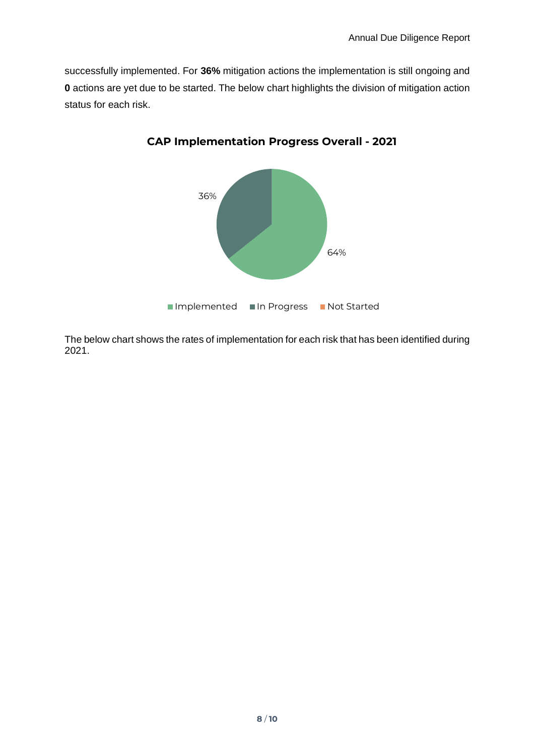successfully implemented. For **36%** mitigation actions the implementation is still ongoing and **0** actions are yet due to be started. The below chart highlights the division of mitigation action status for each risk.



**CAP Implementation Progress Overall - 2021**

The below chart shows the rates of implementation for each risk that has been identified during 2021.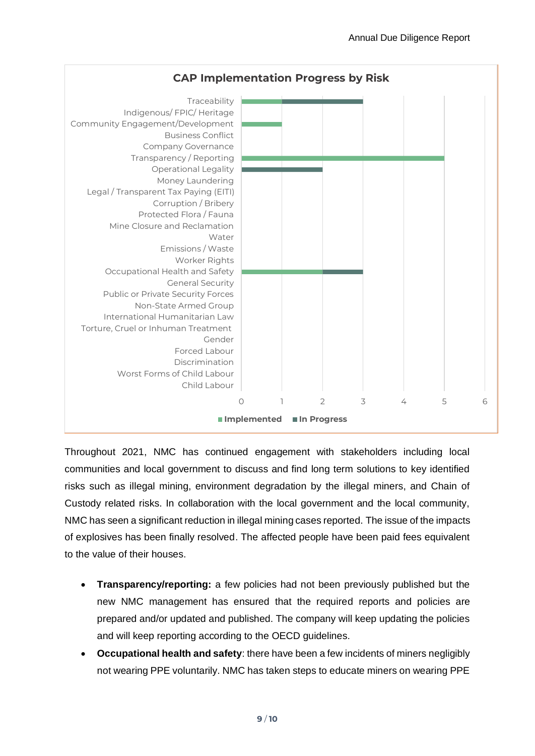

Throughout 2021, NMC has continued engagement with stakeholders including local communities and local government to discuss and find long term solutions to key identified risks such as illegal mining, environment degradation by the illegal miners, and Chain of Custody related risks. In collaboration with the local government and the local community, NMC has seen a significant reduction in illegal mining cases reported. The issue of the impacts of explosives has been finally resolved. The affected people have been paid fees equivalent to the value of their houses.

- **Transparency/reporting:** a few policies had not been previously published but the new NMC management has ensured that the required reports and policies are prepared and/or updated and published. The company will keep updating the policies and will keep reporting according to the OECD guidelines.
- **Occupational health and safety**: there have been a few incidents of miners negligibly not wearing PPE voluntarily. NMC has taken steps to educate miners on wearing PPE